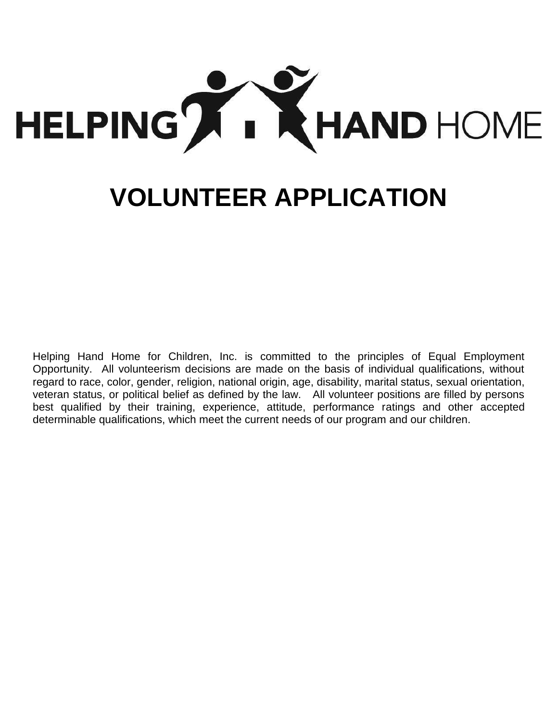

# **VOLUNTEER APPLICATION**

Helping Hand Home for Children, Inc. is committed to the principles of Equal Employment Opportunity. All volunteerism decisions are made on the basis of individual qualifications, without regard to race, color, gender, religion, national origin, age, disability, marital status, sexual orientation, veteran status, or political belief as defined by the law. All volunteer positions are filled by persons best qualified by their training, experience, attitude, performance ratings and other accepted determinable qualifications, which meet the current needs of our program and our children.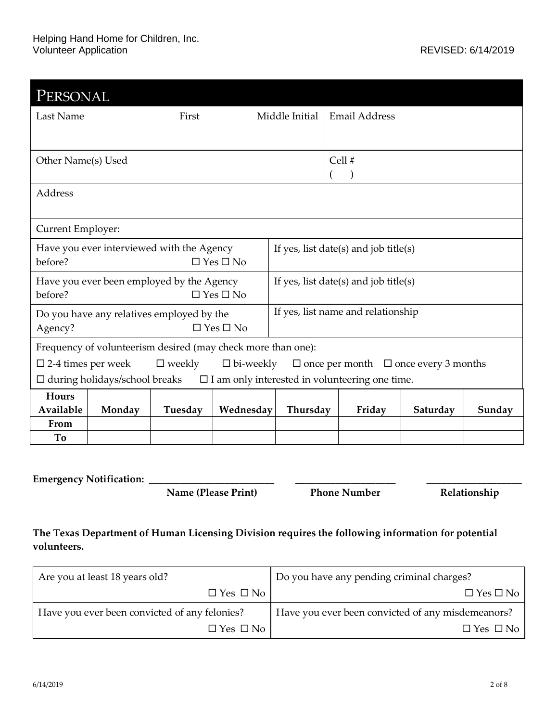| PERSONAL                                                                                                                 |        |                                           |                                        |                                       |                                       |          |        |  |  |
|--------------------------------------------------------------------------------------------------------------------------|--------|-------------------------------------------|----------------------------------------|---------------------------------------|---------------------------------------|----------|--------|--|--|
| Last Name                                                                                                                | First  |                                           | Middle Initial<br><b>Email Address</b> |                                       |                                       |          |        |  |  |
|                                                                                                                          |        |                                           |                                        |                                       |                                       |          |        |  |  |
| Other Name(s) Used                                                                                                       |        |                                           |                                        |                                       | Cell #                                |          |        |  |  |
|                                                                                                                          |        |                                           |                                        |                                       |                                       |          |        |  |  |
| Address                                                                                                                  |        |                                           |                                        |                                       |                                       |          |        |  |  |
|                                                                                                                          |        |                                           |                                        |                                       |                                       |          |        |  |  |
| Current Employer:                                                                                                        |        |                                           |                                        |                                       |                                       |          |        |  |  |
|                                                                                                                          |        | Have you ever interviewed with the Agency |                                        |                                       | If yes, list date(s) and job title(s) |          |        |  |  |
| before?<br>$\Box$ Yes $\Box$ No                                                                                          |        |                                           |                                        |                                       |                                       |          |        |  |  |
| Have you ever been employed by the Agency                                                                                |        |                                           |                                        | If yes, list date(s) and job title(s) |                                       |          |        |  |  |
| before?<br>$\Box$ Yes $\Box$ No                                                                                          |        |                                           |                                        |                                       |                                       |          |        |  |  |
| Do you have any relatives employed by the                                                                                |        |                                           |                                        |                                       | If yes, list name and relationship    |          |        |  |  |
| $\Box$ Yes $\Box$ No<br>Agency?                                                                                          |        |                                           |                                        |                                       |                                       |          |        |  |  |
| Frequency of volunteerism desired (may check more than one):                                                             |        |                                           |                                        |                                       |                                       |          |        |  |  |
| $\square$ 2-4 times per week<br>$\Box$ weekly<br>$\square$ bi-weekly<br>$\Box$ once per month $\Box$ once every 3 months |        |                                           |                                        |                                       |                                       |          |        |  |  |
| $\square$ I am only interested in volunteering one time.<br>$\Box$ during holidays/school breaks                         |        |                                           |                                        |                                       |                                       |          |        |  |  |
| Hours                                                                                                                    |        |                                           |                                        |                                       |                                       |          |        |  |  |
| Available                                                                                                                | Monday | Tuesday                                   | Wednesday                              | Thursday                              | Friday                                | Saturday | Sunday |  |  |
| From                                                                                                                     |        |                                           |                                        |                                       |                                       |          |        |  |  |
| To                                                                                                                       |        |                                           |                                        |                                       |                                       |          |        |  |  |
|                                                                                                                          |        |                                           |                                        |                                       |                                       |          |        |  |  |

**Emergency Notification: \_\_\_\_\_\_\_\_\_\_\_\_\_\_\_\_\_\_\_\_\_\_\_\_\_ \_\_\_\_\_\_\_\_\_\_\_\_\_\_\_\_\_\_\_\_ \_\_\_\_\_\_\_\_\_\_\_\_\_\_\_\_\_\_\_**

**Name (Please Print) Phone Number Relationship**

#### **The Texas Department of Human Licensing Division requires the following information for potential volunteers.**

| Are you at least 18 years old?                | Do you have any pending criminal charges?         |  |  |
|-----------------------------------------------|---------------------------------------------------|--|--|
| $\Box$ Yes $\Box$ No                          | $\Box$ Yes $\Box$ No                              |  |  |
| Have you ever been convicted of any felonies? | Have you ever been convicted of any misdemeanors? |  |  |
| $\Box$ Yes $\Box$ No                          | $\Box$ Yes $\Box$ No                              |  |  |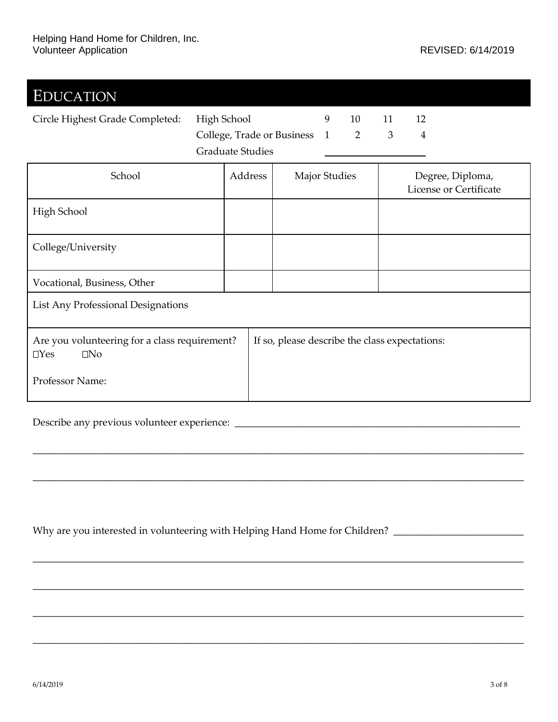| <b>EDUCATION</b>                                                         |                              |         |                                                |                      |    |    |                |                                            |
|--------------------------------------------------------------------------|------------------------------|---------|------------------------------------------------|----------------------|----|----|----------------|--------------------------------------------|
| Circle Highest Grade Completed:                                          | High School                  |         |                                                | 9                    | 10 | 11 | 12             |                                            |
|                                                                          | College, Trade or Business 1 |         |                                                |                      | 2  | 3  | $\overline{4}$ |                                            |
|                                                                          | <b>Graduate Studies</b>      |         |                                                |                      |    |    |                |                                            |
| School                                                                   |                              | Address |                                                | <b>Major Studies</b> |    |    |                | Degree, Diploma,<br>License or Certificate |
| High School                                                              |                              |         |                                                |                      |    |    |                |                                            |
| College/University                                                       |                              |         |                                                |                      |    |    |                |                                            |
| Vocational, Business, Other                                              |                              |         |                                                |                      |    |    |                |                                            |
| List Any Professional Designations                                       |                              |         |                                                |                      |    |    |                |                                            |
| Are you volunteering for a class requirement?<br>$\Box$ Yes<br>$\Box$ No |                              |         | If so, please describe the class expectations: |                      |    |    |                |                                            |
| Professor Name:                                                          |                              |         |                                                |                      |    |    |                |                                            |

\_\_\_\_\_\_\_\_\_\_\_\_\_\_\_\_\_\_\_\_\_\_\_\_\_\_\_\_\_\_\_\_\_\_\_\_\_\_\_\_\_\_\_\_\_\_\_\_\_\_\_\_\_\_\_\_\_\_\_\_\_\_\_\_\_\_\_\_\_\_\_\_\_\_\_\_\_\_\_\_\_\_\_\_\_\_\_\_\_\_\_\_\_\_\_\_\_\_

\_\_\_\_\_\_\_\_\_\_\_\_\_\_\_\_\_\_\_\_\_\_\_\_\_\_\_\_\_\_\_\_\_\_\_\_\_\_\_\_\_\_\_\_\_\_\_\_\_\_\_\_\_\_\_\_\_\_\_\_\_\_\_\_\_\_\_\_\_\_\_\_\_\_\_\_\_\_\_\_\_\_\_\_\_\_\_\_\_\_\_\_\_\_\_\_\_\_

\_\_\_\_\_\_\_\_\_\_\_\_\_\_\_\_\_\_\_\_\_\_\_\_\_\_\_\_\_\_\_\_\_\_\_\_\_\_\_\_\_\_\_\_\_\_\_\_\_\_\_\_\_\_\_\_\_\_\_\_\_\_\_\_\_\_\_\_\_\_\_\_\_\_\_\_\_\_\_\_\_\_\_\_\_\_\_\_\_\_\_\_\_\_\_\_\_\_

\_\_\_\_\_\_\_\_\_\_\_\_\_\_\_\_\_\_\_\_\_\_\_\_\_\_\_\_\_\_\_\_\_\_\_\_\_\_\_\_\_\_\_\_\_\_\_\_\_\_\_\_\_\_\_\_\_\_\_\_\_\_\_\_\_\_\_\_\_\_\_\_\_\_\_\_\_\_\_\_\_\_\_\_\_\_\_\_\_\_\_\_\_\_\_\_\_\_

\_\_\_\_\_\_\_\_\_\_\_\_\_\_\_\_\_\_\_\_\_\_\_\_\_\_\_\_\_\_\_\_\_\_\_\_\_\_\_\_\_\_\_\_\_\_\_\_\_\_\_\_\_\_\_\_\_\_\_\_\_\_\_\_\_\_\_\_\_\_\_\_\_\_\_\_\_\_\_\_\_\_\_\_\_\_\_\_\_\_\_\_\_\_\_\_\_\_

\_\_\_\_\_\_\_\_\_\_\_\_\_\_\_\_\_\_\_\_\_\_\_\_\_\_\_\_\_\_\_\_\_\_\_\_\_\_\_\_\_\_\_\_\_\_\_\_\_\_\_\_\_\_\_\_\_\_\_\_\_\_\_\_\_\_\_\_\_\_\_\_\_\_\_\_\_\_\_\_\_\_\_\_\_\_\_\_\_\_\_\_\_\_\_\_\_\_

Describe any previous volunteer experience: \_\_\_\_\_\_\_\_\_\_\_\_\_\_\_\_\_\_\_\_\_\_\_\_\_\_\_\_\_\_\_\_\_\_\_\_\_\_\_\_\_\_\_\_\_\_\_\_\_\_\_\_\_\_\_\_\_

Why are you interested in volunteering with Helping Hand Home for Children? \_\_\_\_\_\_\_\_\_\_\_\_\_\_\_\_\_\_\_\_\_\_\_\_\_\_\_\_\_\_\_\_\_\_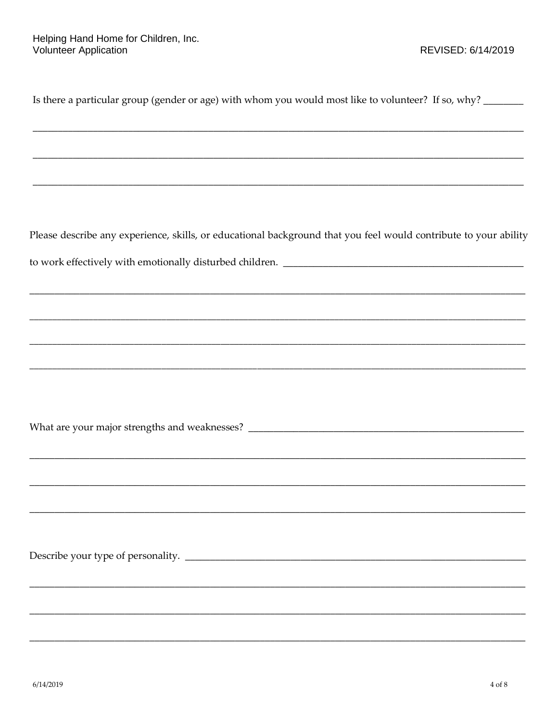| Is there a particular group (gender or age) with whom you would most like to volunteer? If so, why? ______       |
|------------------------------------------------------------------------------------------------------------------|
|                                                                                                                  |
|                                                                                                                  |
|                                                                                                                  |
| Please describe any experience, skills, or educational background that you feel would contribute to your ability |
|                                                                                                                  |
|                                                                                                                  |
|                                                                                                                  |
|                                                                                                                  |
|                                                                                                                  |
|                                                                                                                  |
|                                                                                                                  |
|                                                                                                                  |
|                                                                                                                  |
|                                                                                                                  |
|                                                                                                                  |
|                                                                                                                  |
|                                                                                                                  |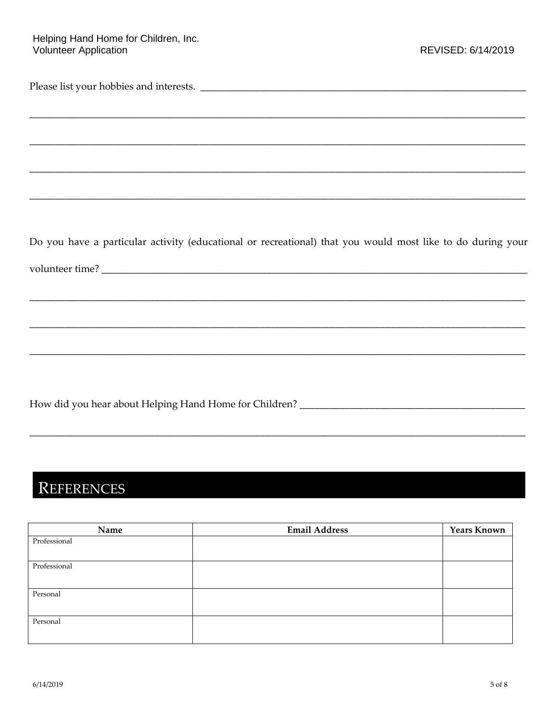## Helping Hand Home for Children, Inc.<br>Volunteer Application

| Do you have a particular activity (educational or recreational) that you would most like to do during your |
|------------------------------------------------------------------------------------------------------------|
|                                                                                                            |
|                                                                                                            |
|                                                                                                            |
|                                                                                                            |
|                                                                                                            |
|                                                                                                            |
|                                                                                                            |
|                                                                                                            |
|                                                                                                            |
|                                                                                                            |

## REFERENCES

| Name         | <b>Email Address</b> | <b>Years Known</b> |
|--------------|----------------------|--------------------|
| Professional |                      |                    |
|              |                      |                    |
| Professional |                      |                    |
|              |                      |                    |
| Personal     |                      |                    |
|              |                      |                    |
| Personal     |                      |                    |
|              |                      |                    |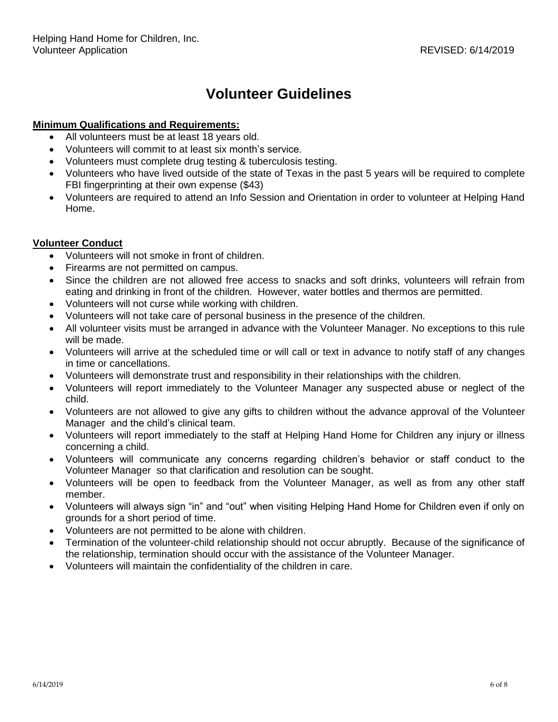### **Volunteer Guidelines**

#### **Minimum Qualifications and Requirements:**

- All volunteers must be at least 18 years old.
- Volunteers will commit to at least six month's service.
- Volunteers must complete drug testing & tuberculosis testing.
- Volunteers who have lived outside of the state of Texas in the past 5 years will be required to complete FBI fingerprinting at their own expense (\$43)
- Volunteers are required to attend an Info Session and Orientation in order to volunteer at Helping Hand Home.

#### **Volunteer Conduct**

- Volunteers will not smoke in front of children.
- Firearms are not permitted on campus.
- Since the children are not allowed free access to snacks and soft drinks, volunteers will refrain from eating and drinking in front of the children. However, water bottles and thermos are permitted.
- Volunteers will not curse while working with children.
- Volunteers will not take care of personal business in the presence of the children.
- All volunteer visits must be arranged in advance with the Volunteer Manager. No exceptions to this rule will be made.
- Volunteers will arrive at the scheduled time or will call or text in advance to notify staff of any changes in time or cancellations.
- Volunteers will demonstrate trust and responsibility in their relationships with the children.
- Volunteers will report immediately to the Volunteer Manager any suspected abuse or neglect of the child.
- Volunteers are not allowed to give any gifts to children without the advance approval of the Volunteer Manager and the child's clinical team.
- Volunteers will report immediately to the staff at Helping Hand Home for Children any injury or illness concerning a child.
- Volunteers will communicate any concerns regarding children's behavior or staff conduct to the Volunteer Manager so that clarification and resolution can be sought.
- Volunteers will be open to feedback from the Volunteer Manager, as well as from any other staff member.
- Volunteers will always sign "in" and "out" when visiting Helping Hand Home for Children even if only on grounds for a short period of time.
- Volunteers are not permitted to be alone with children.
- Termination of the volunteer-child relationship should not occur abruptly. Because of the significance of the relationship, termination should occur with the assistance of the Volunteer Manager.
- Volunteers will maintain the confidentiality of the children in care.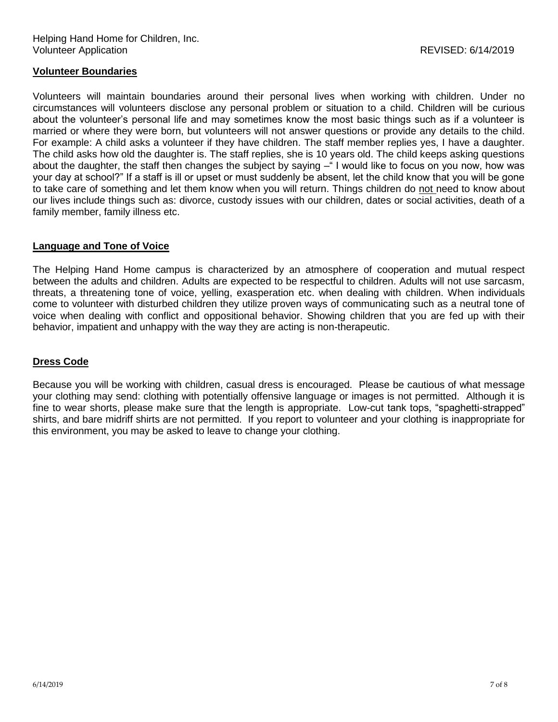#### **Volunteer Boundaries**

Volunteers will maintain boundaries around their personal lives when working with children. Under no circumstances will volunteers disclose any personal problem or situation to a child. Children will be curious about the volunteer's personal life and may sometimes know the most basic things such as if a volunteer is married or where they were born, but volunteers will not answer questions or provide any details to the child. For example: A child asks a volunteer if they have children. The staff member replies yes, I have a daughter. The child asks how old the daughter is. The staff replies, she is 10 years old. The child keeps asking questions about the daughter, the staff then changes the subject by saying – I would like to focus on you now, how was your day at school?" If a staff is ill or upset or must suddenly be absent, let the child know that you will be gone to take care of something and let them know when you will return. Things children do not need to know about our lives include things such as: divorce, custody issues with our children, dates or social activities, death of a family member, family illness etc.

#### **Language and Tone of Voice**

The Helping Hand Home campus is characterized by an atmosphere of cooperation and mutual respect between the adults and children. Adults are expected to be respectful to children. Adults will not use sarcasm, threats, a threatening tone of voice, yelling, exasperation etc. when dealing with children. When individuals come to volunteer with disturbed children they utilize proven ways of communicating such as a neutral tone of voice when dealing with conflict and oppositional behavior. Showing children that you are fed up with their behavior, impatient and unhappy with the way they are acting is non-therapeutic.

#### **Dress Code**

Because you will be working with children, casual dress is encouraged. Please be cautious of what message your clothing may send: clothing with potentially offensive language or images is not permitted. Although it is fine to wear shorts, please make sure that the length is appropriate. Low-cut tank tops, "spaghetti-strapped" shirts, and bare midriff shirts are not permitted. If you report to volunteer and your clothing is inappropriate for this environment, you may be asked to leave to change your clothing.